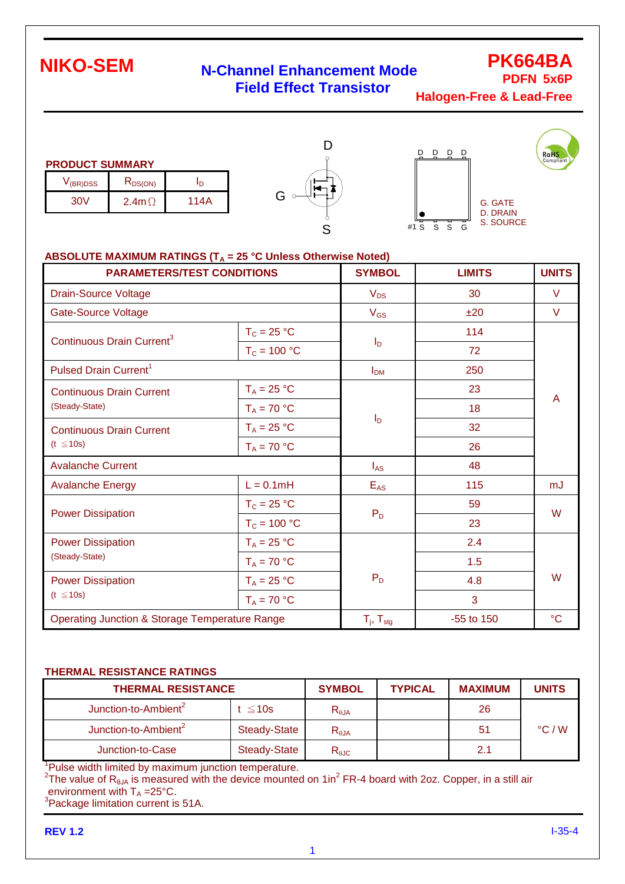### **N-Channel Enhancement Mode Field Effect Transistor**

**PK664BA PDFN 5x6P**

**RoHS** 

**Halogen-Free & Lead-Free**

|  | <b>PRODUCT SUMMARY</b> |
|--|------------------------|
|  |                        |

| V <sub>(BR)DSS</sub> | K <sub>DS(ON)</sub> |      |
|----------------------|---------------------|------|
| 30V                  | $2.4$ m $\Omega$    | 114A |





#### ABSOLUTE MAXIMUM RATINGS (T<sub>A</sub> = 25 °C Unless Otherwise Noted)

| <b>PARAMETERS/TEST CONDITIONS</b>                         |                | <b>SYMBOL</b>            | <b>LIMITS</b> | <b>UNITS</b>    |  |
|-----------------------------------------------------------|----------------|--------------------------|---------------|-----------------|--|
| <b>Drain-Source Voltage</b>                               |                | $V_{DS}$                 | 30            | V               |  |
| <b>Gate-Source Voltage</b>                                |                | $V_{GS}$                 | ±20           | V               |  |
| Continuous Drain Current <sup>3</sup>                     | $T_c = 25 °C$  | $I_{\mathsf{D}}$         | 114           | A               |  |
|                                                           | $T_c = 100 °C$ |                          | 72            |                 |  |
| Pulsed Drain Current <sup>1</sup>                         |                | $I_{DM}$                 | 250           |                 |  |
| <b>Continuous Drain Current</b>                           | $T_A = 25 °C$  |                          | 23            |                 |  |
| (Steady-State)                                            | $T_A = 70 °C$  |                          | 18            |                 |  |
| <b>Continuous Drain Current</b>                           | $T_A = 25 °C$  | $I_D$                    | 32            |                 |  |
| $(t \leq 10s)$                                            | $T_A = 70 °C$  |                          | 26            |                 |  |
| <b>Avalanche Current</b>                                  |                | $I_{AS}$                 | 48            |                 |  |
| <b>Avalanche Energy</b>                                   | $L = 0.1mH$    | $E_{AS}$                 | 115           | mJ              |  |
|                                                           | $T_c = 25 °C$  |                          | 59            | W               |  |
| <b>Power Dissipation</b>                                  | $T_c = 100 °C$ | $P_D$                    | 23            |                 |  |
| <b>Power Dissipation</b>                                  | $T_A = 25 °C$  |                          | 2.4           |                 |  |
| (Steady-State)                                            | $T_A = 70 °C$  |                          | 1.5           | W               |  |
| <b>Power Dissipation</b>                                  | $T_A = 25 °C$  | $P_D$                    | 4.8           |                 |  |
| $(t \leq 10s)$                                            | $T_A = 70 °C$  |                          | 3             |                 |  |
| <b>Operating Junction &amp; Storage Temperature Range</b> |                | $T_i$ , $T_{\text{stg}}$ | $-55$ to 150  | $\rm ^{\circ}C$ |  |

#### **THERMAL RESISTANCE RATINGS**

| <b>THERMAL RESISTANCE</b>        |                     | <b>SYMBOL</b>  | <b>TYPICAL</b> | <b>MAXIMUM</b> | <b>UNITS</b>    |
|----------------------------------|---------------------|----------------|----------------|----------------|-----------------|
| Junction-to-Ambient <sup>2</sup> | : ≤10s              | $R_{\theta$ JA |                | 26             |                 |
| Junction-to-Ambient <sup>2</sup> | <b>Steady-State</b> | $R_{\theta$ JA |                | 51             | $\degree$ C / W |
| Junction-to-Case                 | <b>Steady-State</b> | $R_{\theta$ JC |                | 2.1            |                 |

<sup>1</sup>Pulse width limited by maximum junction temperature.

<sup>2</sup>The value of R<sub>θJA</sub> is measured with the device mounted on 1in<sup>2</sup> FR-4 board with 2oz. Copper, in a still air environment with  $T_A = 25^{\circ}C$ .

 $3$ Package limitation current is 51A.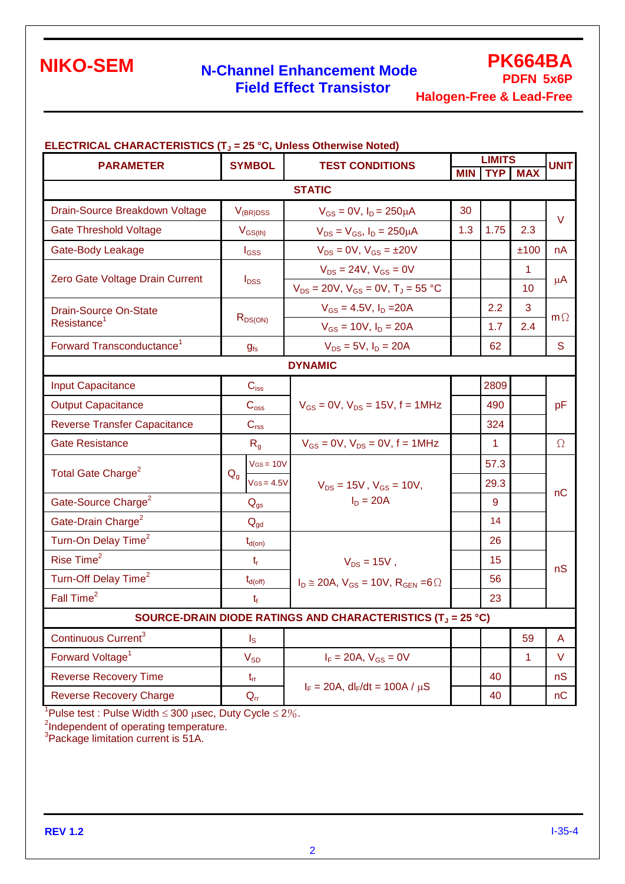### **N-Channel Enhancement Mode Field Effect Transistor**

**PK664BA PDFN 5x6P**

**Halogen-Free & Lead-Free**

|                                       |                             | <b>ELECTRICAL CHARACTERISTICS (T<sub>J</sub> = 25 °C, Unless Otherwise Noted)</b><br><b>SYMBOL</b><br><b>TEST CONDITIONS</b> |     | <b>LIMITS</b> |                |             |  |
|---------------------------------------|-----------------------------|------------------------------------------------------------------------------------------------------------------------------|-----|---------------|----------------|-------------|--|
| <b>PARAMETER</b>                      |                             |                                                                                                                              |     | <b>MIN</b>    | <b>TYP MAX</b> | <b>UNIT</b> |  |
|                                       |                             | <b>STATIC</b>                                                                                                                |     |               |                |             |  |
| Drain-Source Breakdown Voltage        | $V_{(BR)DSS}$               | $V_{GS} = 0V$ , $I_D = 250 \mu A$                                                                                            | 30  |               |                | $\vee$      |  |
| <b>Gate Threshold Voltage</b>         | $V_{GS(th)}$                | $V_{DS} = V_{GS}$ , $I_D = 250 \mu A$                                                                                        | 1.3 | 1.75          | 2.3            |             |  |
| Gate-Body Leakage                     | l <sub>GSS</sub>            | $V_{DS} = 0V$ , $V_{GS} = \pm 20V$                                                                                           |     |               | ±100           | nA          |  |
|                                       |                             | $V_{DS} = 24V$ , $V_{GS} = 0V$                                                                                               |     |               | 1              |             |  |
| Zero Gate Voltage Drain Current       | $I_{DSS}$                   | $V_{DS}$ = 20V, $V_{GS}$ = 0V, $T_J$ = 55 °C                                                                                 |     |               | 10             | $\mu$ A     |  |
| <b>Drain-Source On-State</b>          |                             | $V_{GS} = 4.5V$ , $I_D = 20A$                                                                                                |     | 2.2           | 3              | $m\Omega$   |  |
| Resistance <sup>1</sup>               | $R_{DS(ON)}$                | $V_{GS} = 10V$ , $I_D = 20A$                                                                                                 |     | 1.7           | 2.4            |             |  |
| Forward Transconductance <sup>1</sup> | g <sub>fs</sub>             | $V_{DS} = 5V$ , $I_D = 20A$                                                                                                  |     | 62            |                | S           |  |
|                                       |                             | <b>DYNAMIC</b>                                                                                                               |     |               |                |             |  |
| <b>Input Capacitance</b>              | $C_{iss}$                   |                                                                                                                              |     | 2809          |                | pF          |  |
| <b>Output Capacitance</b>             | $\mathbf{C}_{\text{oss}}$   | $V_{GS} = 0V$ , $V_{DS} = 15V$ , f = 1MHz                                                                                    |     | 490           |                |             |  |
| <b>Reverse Transfer Capacitance</b>   | $C_{\text{rss}}$            |                                                                                                                              |     | 324           |                |             |  |
| <b>Gate Resistance</b>                | $R_{q}$                     | $V_{GS} = 0V$ , $V_{DS} = 0V$ , $f = 1MHz$                                                                                   |     | 1             |                | $\Omega$    |  |
|                                       | $V$ Gs = 10 $V$             |                                                                                                                              |     | 57.3          |                | nC          |  |
| Total Gate Charge <sup>2</sup>        | $Q_{q}$<br>$V$ Gs = 4.5 $V$ | $V_{DS} = 15V$ , $V_{GS} = 10V$ ,                                                                                            |     | 29.3          |                |             |  |
| Gate-Source Charge <sup>2</sup>       | $Q_{gs}$                    | $I_D = 20A$                                                                                                                  |     | 9             |                |             |  |
| Gate-Drain Charge <sup>2</sup>        | $Q_{gd}$                    |                                                                                                                              |     | 14            |                |             |  |
| Turn-On Delay Time <sup>2</sup>       | $t_{d(on)}$                 |                                                                                                                              |     | 26            |                |             |  |
| Rise Time <sup>2</sup>                | $t_{r}$                     | $V_{DS} = 15V$ ,                                                                                                             |     | 15            |                | nS          |  |
| Turn-Off Delay Time <sup>2</sup>      | $t_{d(\text{off})}$         | $I_D \cong 20A$ , $V_{GS} = 10V$ , $R_{GEN} = 6\Omega$                                                                       |     | 56            |                |             |  |
| Fall Time <sup>2</sup>                | $t_{f}$                     |                                                                                                                              |     | 23            |                |             |  |
|                                       |                             | SOURCE-DRAIN DIODE RATINGS AND CHARACTERISTICS (T <sub>J</sub> = 25 °C)                                                      |     |               |                |             |  |
| Continuous Current <sup>3</sup>       | $\mathsf{I}_\mathsf{S}$     |                                                                                                                              |     |               | 59             | A           |  |
| Forward Voltage <sup>1</sup>          | $V_{SD}$                    | $I_F = 20A, V_{GS} = 0V$                                                                                                     |     |               | 1              | V           |  |
| <b>Reverse Recovery Time</b>          | $t_{rr}$                    |                                                                                                                              |     | 40            |                | nS          |  |
| <b>Reverse Recovery Charge</b>        | $Q_{rr}$                    | $I_F = 20A$ , dl <sub>F</sub> /dt = 100A / $\mu$ S                                                                           |     | 40            |                | nC          |  |
|                                       |                             |                                                                                                                              |     |               |                |             |  |

<sup>1</sup>Pulse test : Pulse Width  $\leq$  300  $\mu$ sec, Duty Cycle  $\leq$  2%.

<sup>2</sup>Independent of operating temperature.<br><sup>3</sup>Package limitation current is 51A.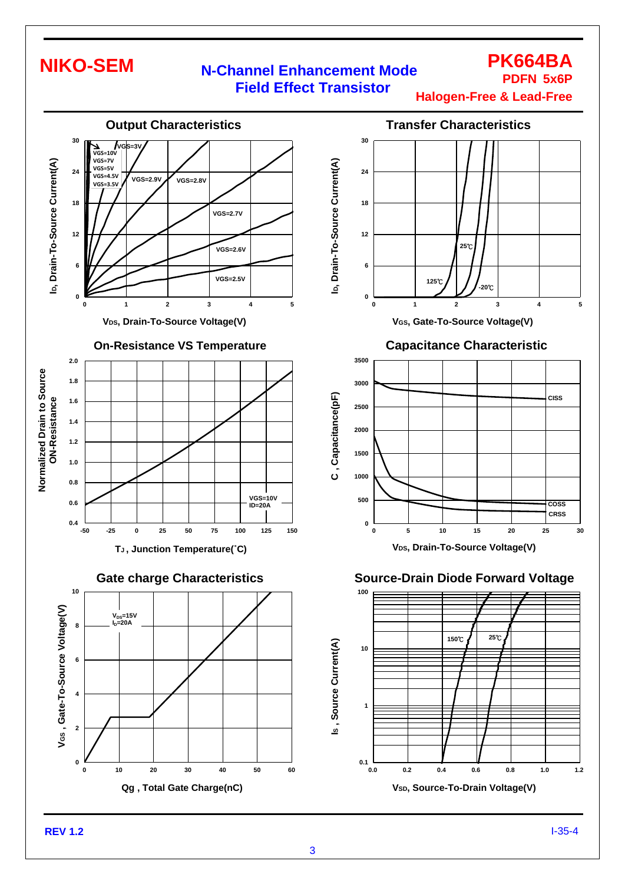### **N-Channel Enhancement Mode Field Effect Transistor**

**Halogen-Free & Lead-Free**

**PK664BA PDFN 5x6P**